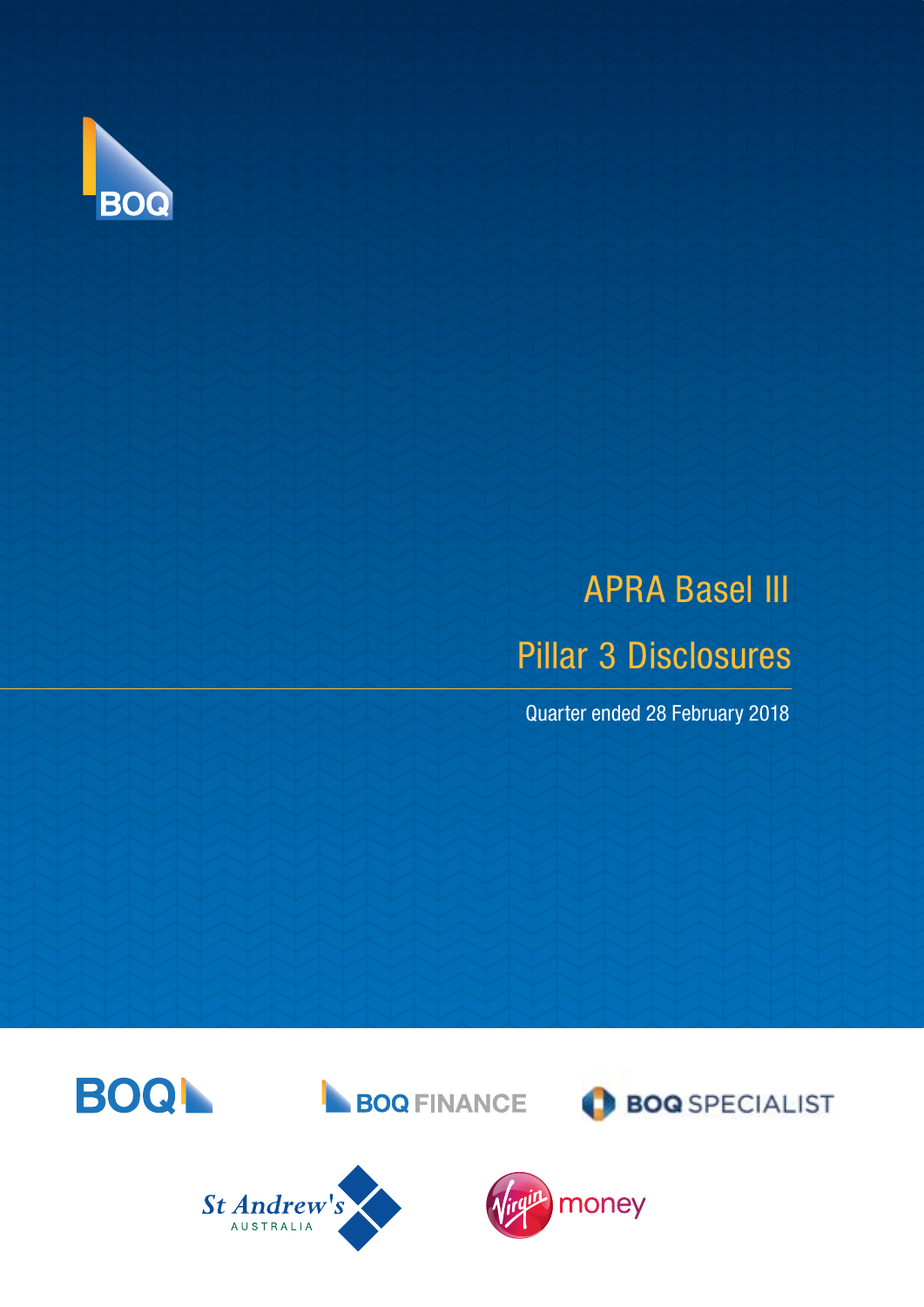

# Pillar 3 Disclosures APRA Basel III

Quarter ended 28 February 2018

**BOQ** SPECIALIST







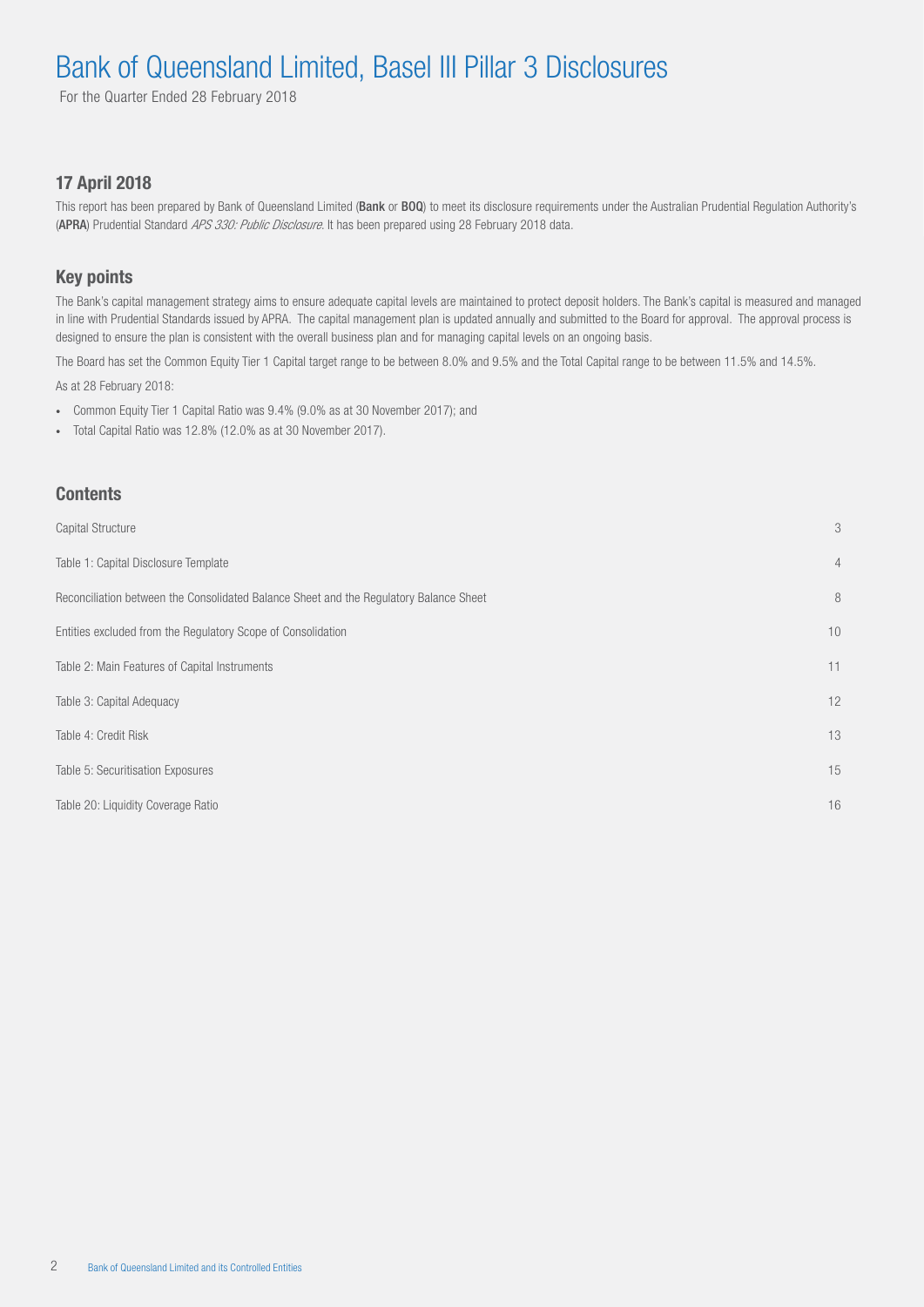For the Quarter Ended 28 February 2018

#### 17 April 2018

This report has been prepared by Bank of Queensland Limited (Bank or BOQ) to meet its disclosure requirements under the Australian Prudential Regulation Authority's (APRA) Prudential Standard APS 330: Public Disclosure. It has been prepared using 28 February 2018 data.

#### Key points

The Bank's capital management strategy aims to ensure adequate capital levels are maintained to protect deposit holders. The Bank's capital is measured and managed in line with Prudential Standards issued by APRA. The capital management plan is updated annually and submitted to the Board for approval. The approval process is designed to ensure the plan is consistent with the overall business plan and for managing capital levels on an ongoing basis.

The Board has set the Common Equity Tier 1 Capital target range to be between 8.0% and 9.5% and the Total Capital range to be between 11.5% and 14.5%.

As at 28 February 2018:

- Common Equity Tier 1 Capital Ratio was 9.4% (9.0% as at 30 November 2017); and
- Total Capital Ratio was 12.8% (12.0% as at 30 November 2017).

#### **Contents**

| <b>Capital Structure</b>                                                               | 3              |
|----------------------------------------------------------------------------------------|----------------|
| Table 1: Capital Disclosure Template                                                   | $\overline{4}$ |
| Reconciliation between the Consolidated Balance Sheet and the Regulatory Balance Sheet | 8              |
| Entities excluded from the Regulatory Scope of Consolidation                           | 10             |
| Table 2: Main Features of Capital Instruments                                          | 11             |
| Table 3: Capital Adequacy                                                              | 12             |
| Table 4: Credit Risk                                                                   | 13             |
| Table 5: Securitisation Exposures                                                      | 15             |
| Table 20: Liquidity Coverage Ratio                                                     | 16             |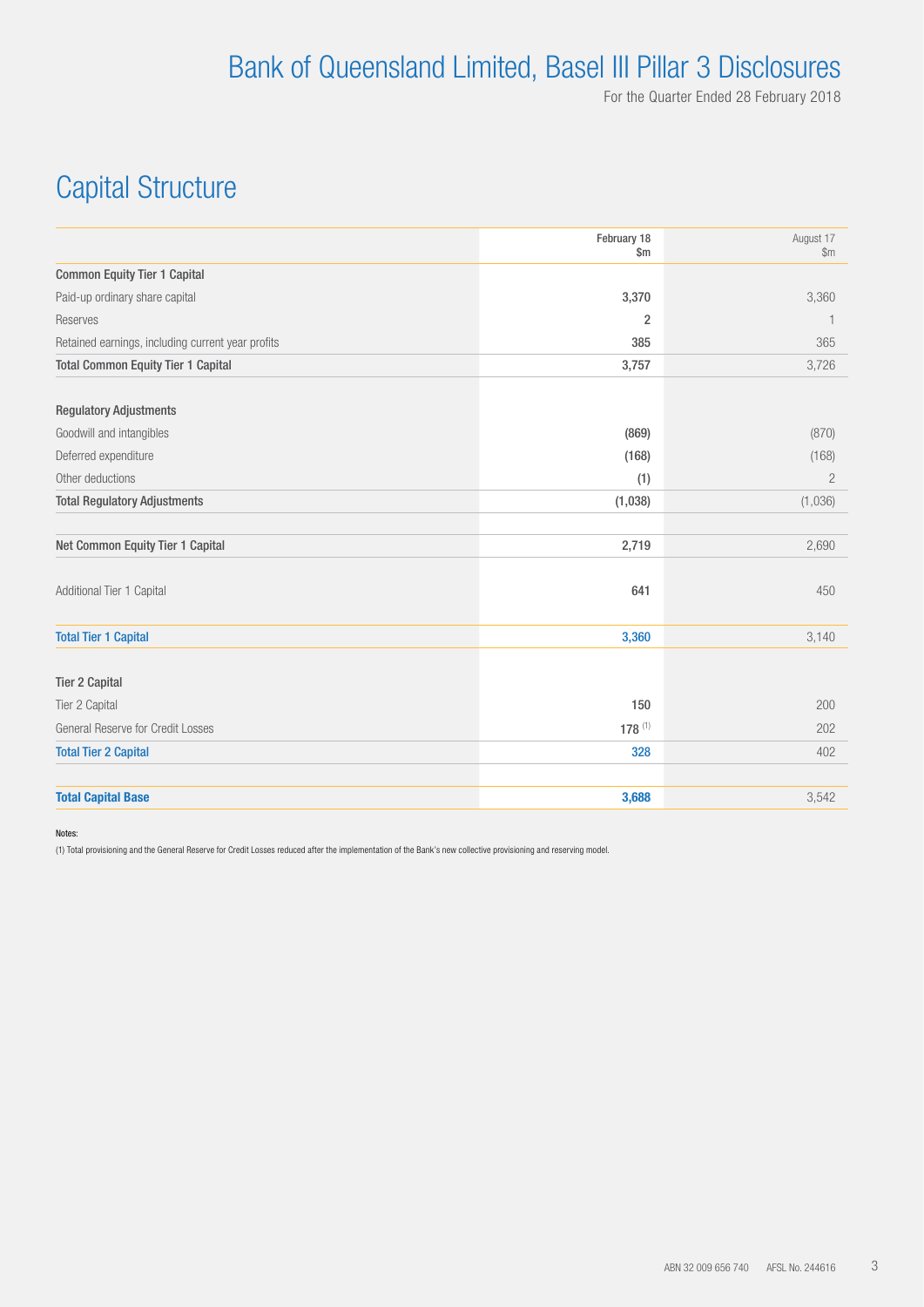# Capital Structure

|                                                   | February 18<br>$\mathsf{Sm}$ | August 17<br>\$m\$ |
|---------------------------------------------------|------------------------------|--------------------|
| <b>Common Equity Tier 1 Capital</b>               |                              |                    |
| Paid-up ordinary share capital                    | 3,370                        | 3,360              |
| Reserves                                          | $\overline{2}$               | 1                  |
| Retained earnings, including current year profits | 385                          | 365                |
| <b>Total Common Equity Tier 1 Capital</b>         | 3,757                        | 3,726              |
| <b>Regulatory Adjustments</b>                     |                              |                    |
| Goodwill and intangibles                          | (869)                        | (870)              |
| Deferred expenditure                              | (168)                        | (168)              |
| Other deductions                                  | (1)                          | $\overline{2}$     |
| <b>Total Regulatory Adjustments</b>               | (1,038)                      | (1,036)            |
| Net Common Equity Tier 1 Capital                  | 2,719                        | 2,690              |
| Additional Tier 1 Capital                         | 641                          | 450                |
| <b>Total Tier 1 Capital</b>                       | 3,360                        | 3,140              |
| <b>Tier 2 Capital</b>                             |                              |                    |
| Tier 2 Capital                                    | 150                          | 200                |
| General Reserve for Credit Losses                 | $178^{(1)}$                  | 202                |
| <b>Total Tier 2 Capital</b>                       | 328                          | 402                |
| <b>Total Capital Base</b>                         | 3,688                        | 3,542              |

Notes:

(1) Total provisioning and the General Reserve for Credit Losses reduced after the implementation of the Bank's new collective provisioning and reserving model.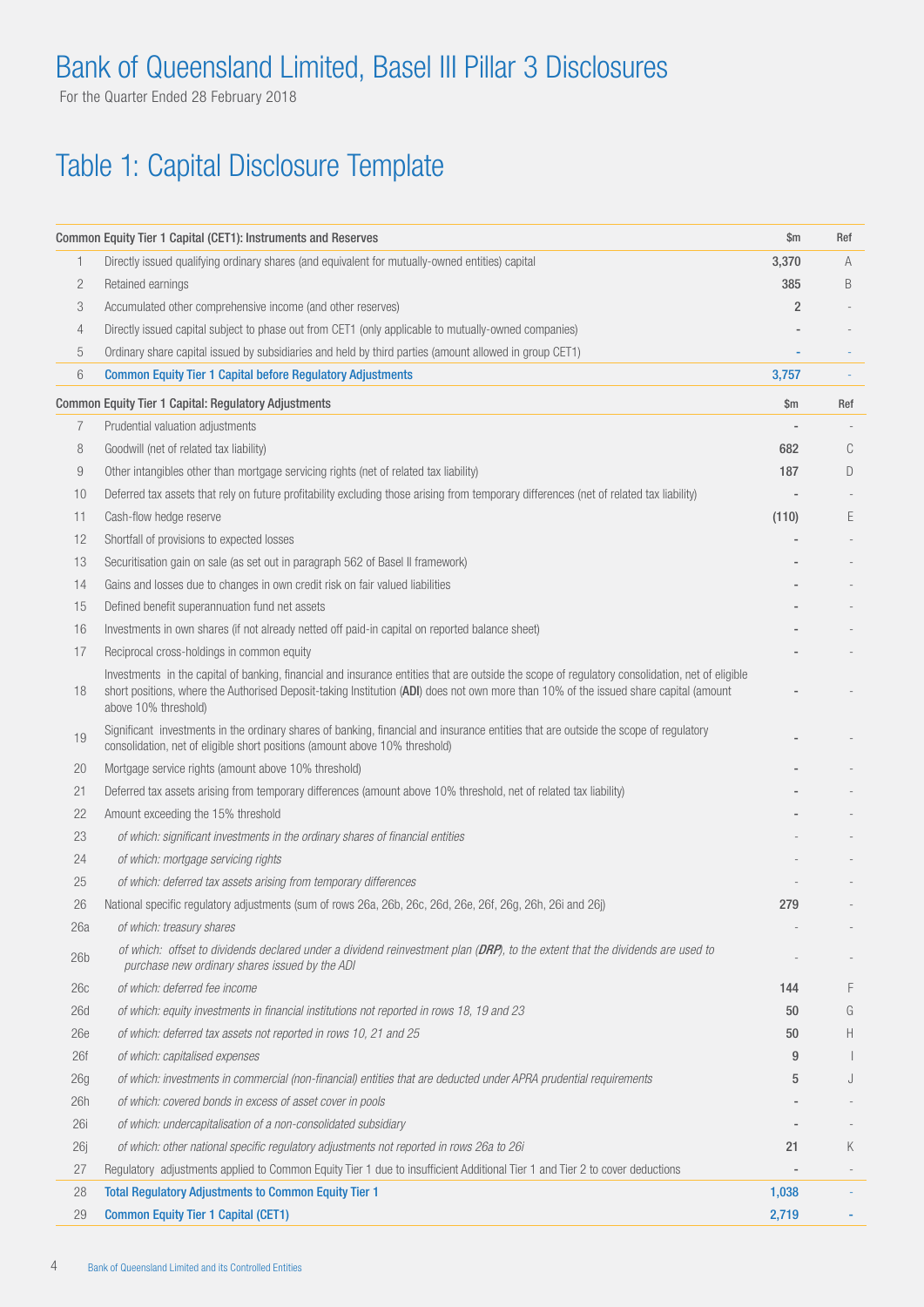For the Quarter Ended 28 February 2018

# Table 1: Capital Disclosure Template

|                 | Common Equity Tier 1 Capital (CET1): Instruments and Reserves                                                                                                                                                                                                                                                    | \$m            | Ref |
|-----------------|------------------------------------------------------------------------------------------------------------------------------------------------------------------------------------------------------------------------------------------------------------------------------------------------------------------|----------------|-----|
| 1               | Directly issued qualifying ordinary shares (and equivalent for mutually-owned entities) capital                                                                                                                                                                                                                  | 3,370          | A   |
| 2               | Retained earnings                                                                                                                                                                                                                                                                                                | 385            | B   |
| 3               | Accumulated other comprehensive income (and other reserves)                                                                                                                                                                                                                                                      | $\overline{2}$ |     |
| 4               | Directly issued capital subject to phase out from CET1 (only applicable to mutually-owned companies)                                                                                                                                                                                                             |                |     |
| 5               | Ordinary share capital issued by subsidiaries and held by third parties (amount allowed in group CET1)                                                                                                                                                                                                           |                |     |
| 6               | <b>Common Equity Tier 1 Capital before Regulatory Adjustments</b>                                                                                                                                                                                                                                                | 3,757          |     |
|                 | <b>Common Equity Tier 1 Capital: Regulatory Adjustments</b>                                                                                                                                                                                                                                                      | \$m            | Ref |
| 7               | Prudential valuation adjustments                                                                                                                                                                                                                                                                                 |                |     |
| 8               | Goodwill (net of related tax liability)                                                                                                                                                                                                                                                                          | 682            | C   |
| 9               | Other intangibles other than mortgage servicing rights (net of related tax liability)                                                                                                                                                                                                                            | 187            | D   |
| 10              | Deferred tax assets that rely on future profitability excluding those arising from temporary differences (net of related tax liability)                                                                                                                                                                          |                |     |
| 11              | Cash-flow hedge reserve                                                                                                                                                                                                                                                                                          | (110)          | E   |
| 12              | Shortfall of provisions to expected losses                                                                                                                                                                                                                                                                       |                |     |
| 13              | Securitisation gain on sale (as set out in paragraph 562 of Basel II framework)                                                                                                                                                                                                                                  |                |     |
| 14              | Gains and losses due to changes in own credit risk on fair valued liabilities                                                                                                                                                                                                                                    |                |     |
| 15              | Defined benefit superannuation fund net assets                                                                                                                                                                                                                                                                   |                |     |
| 16              | Investments in own shares (if not already netted off paid-in capital on reported balance sheet)                                                                                                                                                                                                                  |                |     |
| 17              | Reciprocal cross-holdings in common equity                                                                                                                                                                                                                                                                       |                |     |
| 18              | Investments in the capital of banking, financial and insurance entities that are outside the scope of regulatory consolidation, net of eligible<br>short positions, where the Authorised Deposit-taking Institution (ADI) does not own more than 10% of the issued share capital (amount<br>above 10% threshold) |                |     |
| 19              | Significant investments in the ordinary shares of banking, financial and insurance entities that are outside the scope of regulatory<br>consolidation, net of eligible short positions (amount above 10% threshold)                                                                                              |                |     |
| 20              | Mortgage service rights (amount above 10% threshold)                                                                                                                                                                                                                                                             |                |     |
| 21              | Deferred tax assets arising from temporary differences (amount above 10% threshold, net of related tax liability)                                                                                                                                                                                                |                |     |
| 22              | Amount exceeding the 15% threshold                                                                                                                                                                                                                                                                               |                |     |
| 23              | of which: significant investments in the ordinary shares of financial entities                                                                                                                                                                                                                                   |                |     |
| 24              | of which: mortgage servicing rights                                                                                                                                                                                                                                                                              |                |     |
| 25              | of which: deferred tax assets arising from temporary differences                                                                                                                                                                                                                                                 |                |     |
| 26              | National specific regulatory adjustments (sum of rows 26a, 26b, 26c, 26d, 26e, 26f, 26g, 26h, 26i and 26j)                                                                                                                                                                                                       | 279            |     |
| 26a             | of which: treasury shares                                                                                                                                                                                                                                                                                        |                |     |
| 26 <sub>b</sub> | of which: offset to dividends declared under a dividend reinvestment plan (DRP), to the extent that the dividends are used to<br>purchase new ordinary shares issued by the ADI                                                                                                                                  |                |     |
| 26c             | of which: deferred fee income                                                                                                                                                                                                                                                                                    | 144            | F   |
| 26d             | of which: equity investments in financial institutions not reported in rows 18, 19 and 23                                                                                                                                                                                                                        | 50             | G   |
| 26e             | of which: deferred tax assets not reported in rows 10, 21 and 25                                                                                                                                                                                                                                                 | 50             | H.  |
| 26f             | of which: capitalised expenses                                                                                                                                                                                                                                                                                   | 9              |     |
| 26g             | of which: investments in commercial (non-financial) entities that are deducted under APRA prudential requirements                                                                                                                                                                                                | 5              | J   |
| 26h             | of which: covered bonds in excess of asset cover in pools                                                                                                                                                                                                                                                        |                |     |
| 26i             | of which: undercapitalisation of a non-consolidated subsidiary                                                                                                                                                                                                                                                   |                |     |
| 26j             | of which: other national specific regulatory adjustments not reported in rows 26a to 26i                                                                                                                                                                                                                         | 21             | Κ   |
| 27              | Regulatory adjustments applied to Common Equity Tier 1 due to insufficient Additional Tier 1 and Tier 2 to cover deductions                                                                                                                                                                                      |                |     |
| 28              | <b>Total Regulatory Adjustments to Common Equity Tier 1</b>                                                                                                                                                                                                                                                      | 1,038          |     |
| 29              | <b>Common Equity Tier 1 Capital (CET1)</b>                                                                                                                                                                                                                                                                       | 2,719          |     |
|                 |                                                                                                                                                                                                                                                                                                                  |                |     |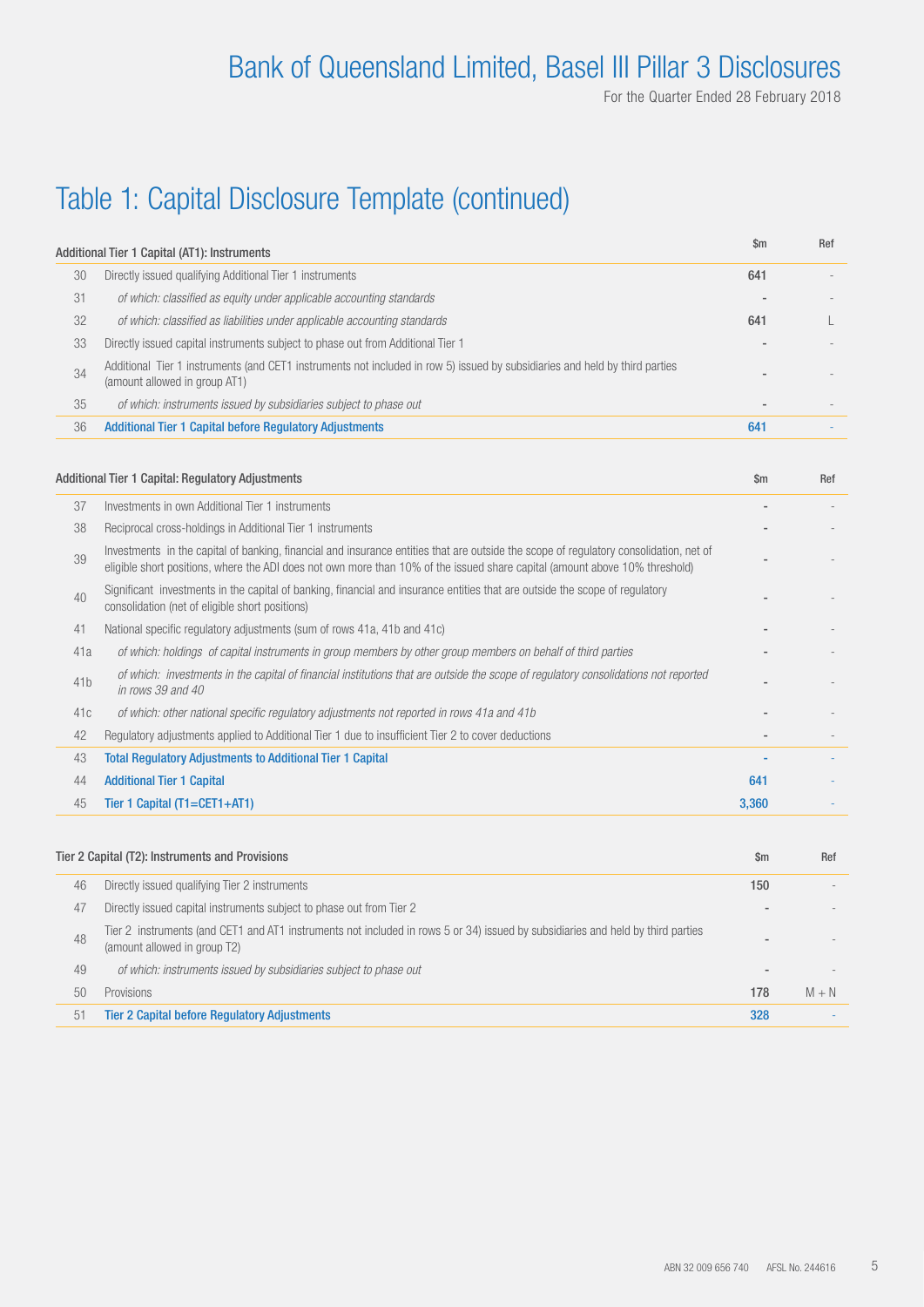# Table 1: Capital Disclosure Template (continued)

|    | Additional Tier 1 Capital (AT1): Instruments                                                                                                                 | $\mathsf{Sm}$ | Ref |
|----|--------------------------------------------------------------------------------------------------------------------------------------------------------------|---------------|-----|
| 30 | Directly issued qualifying Additional Tier 1 instruments                                                                                                     | 641           |     |
| 31 | of which: classified as equity under applicable accounting standards                                                                                         |               |     |
| 32 | of which: classified as liabilities under applicable accounting standards                                                                                    | 641           |     |
| 33 | Directly issued capital instruments subject to phase out from Additional Tier 1                                                                              |               |     |
| 34 | Additional Tier 1 instruments (and CET1 instruments not included in row 5) issued by subsidiaries and held by third parties<br>(amount allowed in group AT1) |               |     |
| 35 | of which: instruments issued by subsidiaries subject to phase out                                                                                            |               |     |
| 36 | <b>Additional Tier 1 Capital before Regulatory Adjustments</b>                                                                                               | 641           |     |

|     | Additional Tier 1 Capital: Regulatory Adjustments                                                                                                                                                                                                                     | $\mathsf{Sm}$ | Ref |
|-----|-----------------------------------------------------------------------------------------------------------------------------------------------------------------------------------------------------------------------------------------------------------------------|---------------|-----|
| 37  | Investments in own Additional Tier 1 instruments                                                                                                                                                                                                                      |               |     |
| 38  | Reciprocal cross-holdings in Additional Tier 1 instruments                                                                                                                                                                                                            |               |     |
| 39  | Investments in the capital of banking, financial and insurance entities that are outside the scope of requlatory consolidation, net of<br>eligible short positions, where the ADI does not own more than 10% of the issued share capital (amount above 10% threshold) |               |     |
| 40  | Significant investments in the capital of banking, financial and insurance entities that are outside the scope of regulatory<br>consolidation (net of eligible short positions)                                                                                       |               |     |
| 41  | National specific regulatory adjustments (sum of rows 41a, 41b and 41c)                                                                                                                                                                                               |               |     |
| 41a | of which: holdings of capital instruments in group members by other group members on behalf of third parties                                                                                                                                                          |               |     |
| 41b | of which: investments in the capital of financial institutions that are outside the scope of regulatory consolidations not reported<br>in rows 39 and 40                                                                                                              |               |     |
| 41c | of which: other national specific regulatory adjustments not reported in rows 41a and 41b                                                                                                                                                                             |               |     |
| 42  | Regulatory adjustments applied to Additional Tier 1 due to insufficient Tier 2 to cover deductions                                                                                                                                                                    |               |     |
| 43  | <b>Total Regulatory Adjustments to Additional Tier 1 Capital</b>                                                                                                                                                                                                      |               |     |
| 44  | <b>Additional Tier 1 Capital</b>                                                                                                                                                                                                                                      | 641           |     |
| 45  | Tier 1 Capital (T1=CET1+AT1)                                                                                                                                                                                                                                          | 3,360         |     |

|    | Tier 2 Capital (T2): Instruments and Provisions                                                                                                                 | \$m | Ref     |
|----|-----------------------------------------------------------------------------------------------------------------------------------------------------------------|-----|---------|
| 46 | Directly issued qualifying Tier 2 instruments                                                                                                                   | 150 |         |
| 47 | Directly issued capital instruments subject to phase out from Tier 2                                                                                            |     |         |
| 48 | Tier 2 instruments (and CET1 and AT1 instruments not included in rows 5 or 34) issued by subsidiaries and held by third parties<br>(amount allowed in group T2) |     |         |
| 49 | of which: instruments issued by subsidiaries subject to phase out                                                                                               |     |         |
| 50 | <b>Provisions</b>                                                                                                                                               | 178 | $M + N$ |
| 51 | <b>Tier 2 Capital before Regulatory Adjustments</b>                                                                                                             | 328 |         |
|    |                                                                                                                                                                 |     |         |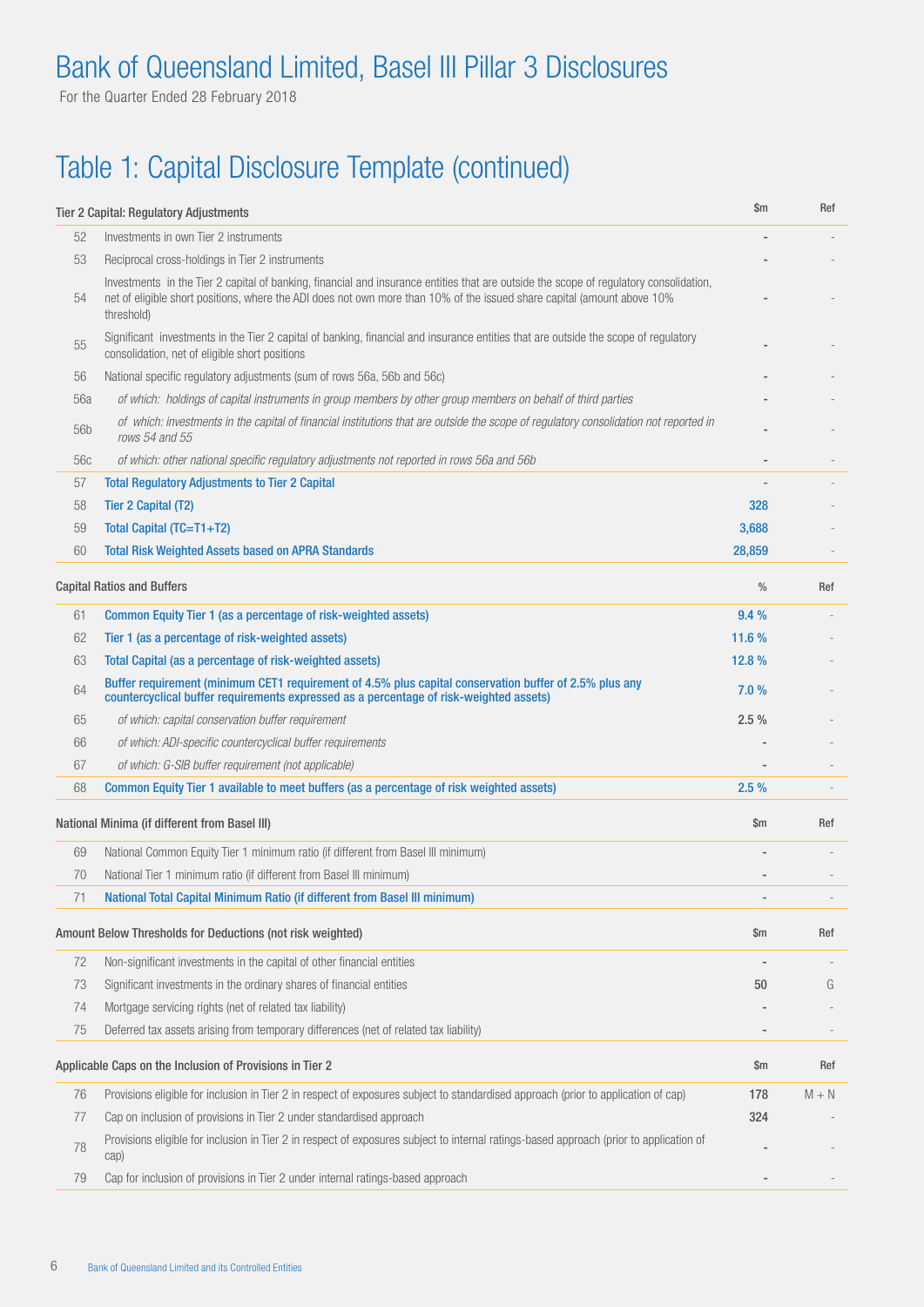For the Quarter Ended 28 February 2018

# Table 1: Capital Disclosure Template (continued)

|            | <b>Tier 2 Capital: Regulatory Adjustments</b>                                                                                                                                                                                                                                   | $\mathsf{Sm}$ | Ref     |
|------------|---------------------------------------------------------------------------------------------------------------------------------------------------------------------------------------------------------------------------------------------------------------------------------|---------------|---------|
| 52         | Investments in own Tier 2 instruments                                                                                                                                                                                                                                           |               |         |
| 53         | Reciprocal cross-holdings in Tier 2 instruments                                                                                                                                                                                                                                 |               |         |
| 54         | Investments in the Tier 2 capital of banking, financial and insurance entities that are outside the scope of regulatory consolidation,<br>net of eligible short positions, where the ADI does not own more than 10% of the issued share capital (amount above 10%<br>threshold) |               |         |
| 55         | Significant investments in the Tier 2 capital of banking, financial and insurance entities that are outside the scope of regulatory<br>consolidation, net of eligible short positions                                                                                           |               |         |
| 56         | National specific regulatory adjustments (sum of rows 56a, 56b and 56c)                                                                                                                                                                                                         |               |         |
| 56a        | of which: holdings of capital instruments in group members by other group members on behalf of third parties                                                                                                                                                                    |               |         |
| 56b        | of which: investments in the capital of financial institutions that are outside the scope of regulatory consolidation not reported in<br>rows 54 and 55                                                                                                                         |               |         |
| 56c        | of which: other national specific regulatory adjustments not reported in rows 56a and 56b                                                                                                                                                                                       |               |         |
| 57         | <b>Total Regulatory Adjustments to Tier 2 Capital</b>                                                                                                                                                                                                                           |               |         |
| 58         | Tier 2 Capital (T2)                                                                                                                                                                                                                                                             | 328           |         |
| 59         | Total Capital (TC=T1+T2)                                                                                                                                                                                                                                                        | 3,688         |         |
| 60         | <b>Total Risk Weighted Assets based on APRA Standards</b>                                                                                                                                                                                                                       | 28,859        |         |
|            | <b>Capital Ratios and Buffers</b>                                                                                                                                                                                                                                               | $\%$          | Ref     |
| 61         | Common Equity Tier 1 (as a percentage of risk-weighted assets)                                                                                                                                                                                                                  | 9.4%          |         |
| 62         | Tier 1 (as a percentage of risk-weighted assets)                                                                                                                                                                                                                                | 11.6 %        |         |
| 63         | Total Capital (as a percentage of risk-weighted assets)                                                                                                                                                                                                                         | 12.8%         |         |
| 64         | Buffer requirement (minimum CET1 requirement of 4.5% plus capital conservation buffer of 2.5% plus any<br>countercyclical buffer requirements expressed as a percentage of risk-weighted assets)                                                                                | 7.0%          |         |
| 65         | of which: capital conservation buffer requirement                                                                                                                                                                                                                               | 2.5%          |         |
| 66         | of which: ADI-specific countercyclical buffer requirements                                                                                                                                                                                                                      |               |         |
| 67         | of which: G-SIB buffer requirement (not applicable)                                                                                                                                                                                                                             |               |         |
| 68         | Common Equity Tier 1 available to meet buffers (as a percentage of risk weighted assets)                                                                                                                                                                                        | 2.5%          |         |
|            | National Minima (if different from Basel III)                                                                                                                                                                                                                                   | $\mathsf{Sm}$ | Ref     |
| 69         | National Common Equity Tier 1 minimum ratio (if different from Basel III minimum)                                                                                                                                                                                               |               |         |
| 70         | National Tier 1 minimum ratio (if different from Basel III minimum)                                                                                                                                                                                                             |               |         |
| $\sqrt{1}$ | National Total Capital Minimum Ratio (if different from Basel III minimum)                                                                                                                                                                                                      |               |         |
|            | Amount Below Thresholds for Deductions (not risk weighted)                                                                                                                                                                                                                      | \$m           | Ref     |
| 72         | Non-significant investments in the capital of other financial entities                                                                                                                                                                                                          |               |         |
| 73         | Significant investments in the ordinary shares of financial entities                                                                                                                                                                                                            | 50            | G       |
| 74         | Mortgage servicing rights (net of related tax liability)                                                                                                                                                                                                                        |               |         |
| 75         | Deferred tax assets arising from temporary differences (net of related tax liability)                                                                                                                                                                                           |               |         |
|            | Applicable Caps on the Inclusion of Provisions in Tier 2                                                                                                                                                                                                                        | \$m           | Ref     |
| 76         | Provisions eligible for inclusion in Tier 2 in respect of exposures subject to standardised approach (prior to application of cap)                                                                                                                                              | 178           | $M + N$ |
| 77         | Cap on inclusion of provisions in Tier 2 under standardised approach                                                                                                                                                                                                            | 324           |         |
| 78         | Provisions eligible for inclusion in Tier 2 in respect of exposures subject to internal ratings-based approach (prior to application of<br>cap)                                                                                                                                 |               |         |
| 79         | Cap for inclusion of provisions in Tier 2 under internal ratings-based approach                                                                                                                                                                                                 |               |         |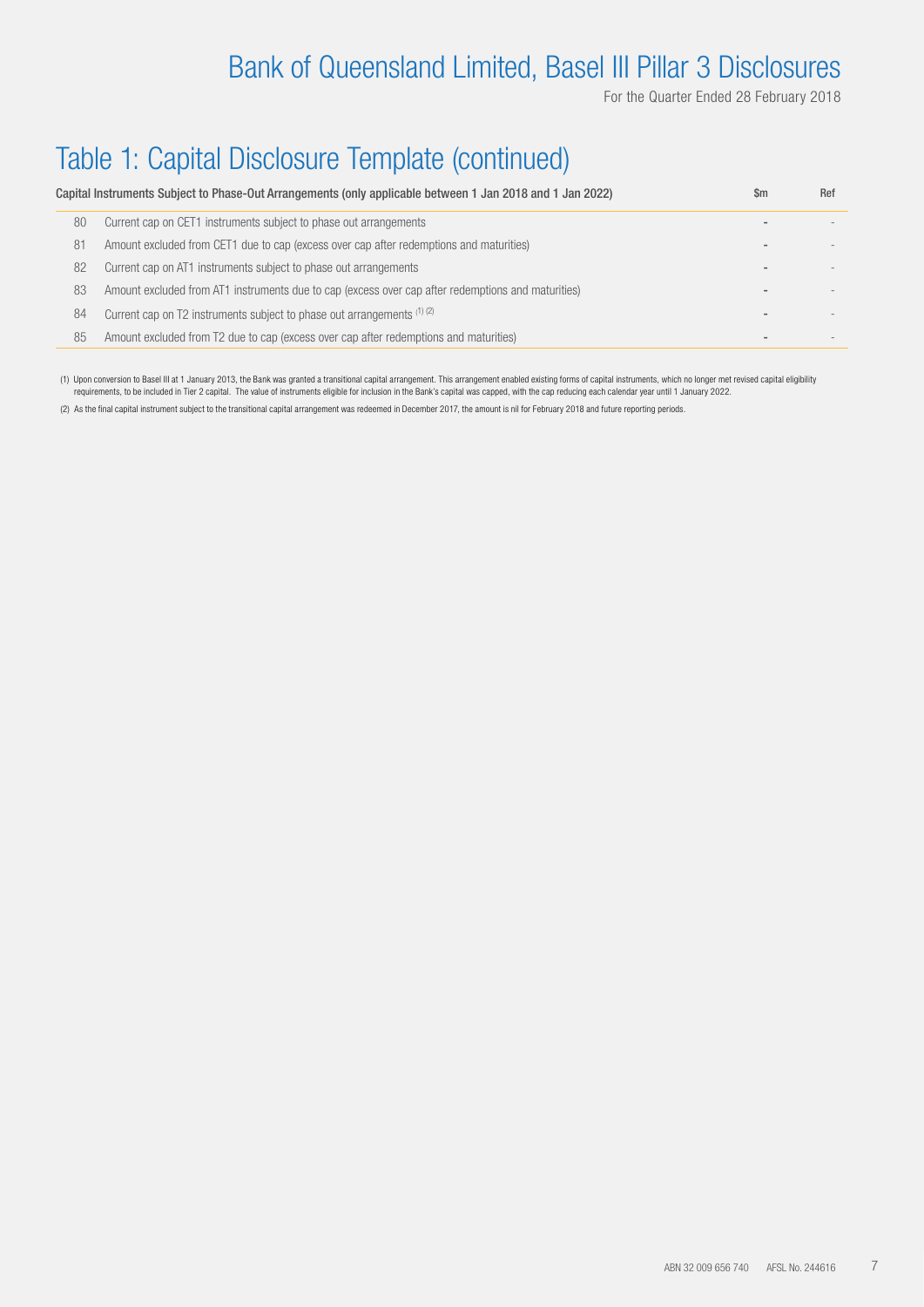For the Quarter Ended 28 February 2018

## Table 1: Capital Disclosure Template (continued)

|    | Capital Instruments Subject to Phase-Out Arrangements (only applicable between 1 Jan 2018 and 1 Jan 2022) | \$m | Ref |
|----|-----------------------------------------------------------------------------------------------------------|-----|-----|
| 80 | Current cap on CET1 instruments subject to phase out arrangements                                         |     |     |
| 81 | Amount excluded from CET1 due to cap (excess over cap after redemptions and maturities)                   |     |     |
| 82 | Current cap on AT1 instruments subject to phase out arrangements                                          |     |     |
| 83 | Amount excluded from AT1 instruments due to cap (excess over cap after redemptions and maturities)        |     |     |
| 84 | Current cap on T2 instruments subject to phase out arrangements (1) (2)                                   |     |     |
| 85 | Amount excluded from T2 due to cap (excess over cap after redemptions and maturities)                     |     |     |

(1) Upon conversion to Basel III at 1 January 2013, the Bank was granted a transitional capital arrangement. This arrangement enabled existing forms of capital instruments, which no longer met revised capital eligibility requirements, to be included in Tier 2 capital. The value of instruments eligible for inclusion in the Bank's capital was capped, with the cap reducing each calendar year until 1 January 2022.

(2) As the final capital instrument subject to the transitional capital arrangement was redeemed in December 2017, the amount is nil for February 2018 and future reporting periods.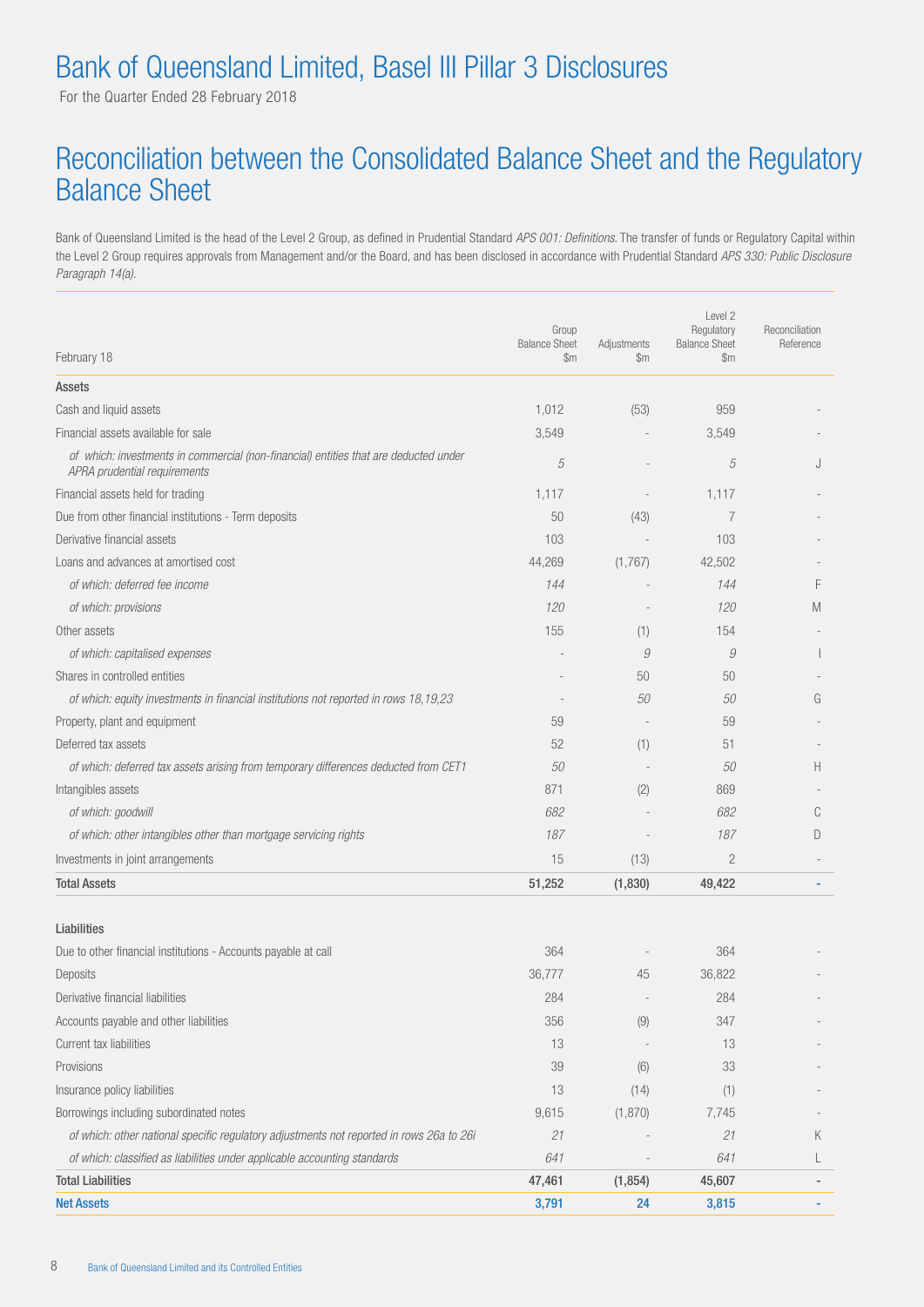For the Quarter Ended 28 February 2018

#### Reconciliation between the Consolidated Balance Sheet and the Regulatory Balance Sheet

Bank of Queensland Limited is the head of the Level 2 Group, as defined in Prudential Standard *APS 001: Definitions*. The transfer of funds or Regulatory Capital within the Level 2 Group requires approvals from Management and/or the Board, and has been disclosed in accordance with Prudential Standard *APS 330: Public Disclosure Paragraph 14(a)*.

| February 18                                                                                                          | Group<br><b>Balance Sheet</b><br>$\mathbb{S}$ m | Adjustments<br>\$m\$ | Level 2<br>Regulatory<br><b>Balance Sheet</b><br>$\mathbb{S}$ m | Reconciliation<br>Reference |
|----------------------------------------------------------------------------------------------------------------------|-------------------------------------------------|----------------------|-----------------------------------------------------------------|-----------------------------|
| Assets                                                                                                               |                                                 |                      |                                                                 |                             |
| Cash and liquid assets                                                                                               | 1,012                                           | (53)                 | 959                                                             |                             |
| Financial assets available for sale                                                                                  | 3,549                                           |                      | 3,549                                                           |                             |
| of which: investments in commercial (non-financial) entities that are deducted under<br>APRA prudential requirements | 5                                               |                      | 5                                                               | J                           |
| Financial assets held for trading                                                                                    | 1,117                                           |                      | 1,117                                                           |                             |
| Due from other financial institutions - Term deposits                                                                | 50                                              | (43)                 | $\overline{7}$                                                  |                             |
| Derivative financial assets                                                                                          | 103                                             |                      | 103                                                             |                             |
| Loans and advances at amortised cost                                                                                 | 44,269                                          | (1,767)              | 42,502                                                          |                             |
| of which: deferred fee income                                                                                        | 144                                             |                      | 144                                                             | F                           |
| of which: provisions                                                                                                 | 120                                             |                      | 120                                                             | M                           |
| Other assets                                                                                                         | 155                                             | (1)                  | 154                                                             |                             |
| of which: capitalised expenses                                                                                       |                                                 | 9                    | 9                                                               |                             |
| Shares in controlled entities                                                                                        |                                                 | 50                   | 50                                                              |                             |
| of which: equity investments in financial institutions not reported in rows 18,19,23                                 |                                                 | 50                   | 50                                                              | G                           |
| Property, plant and equipment                                                                                        | 59                                              |                      | 59                                                              |                             |
| Deferred tax assets                                                                                                  | 52                                              | (1)                  | 51                                                              |                             |
| of which: deferred tax assets arising from temporary differences deducted from CET1                                  | 50                                              |                      | 50                                                              | H.                          |
| Intangibles assets                                                                                                   | 871                                             | (2)                  | 869                                                             |                             |
| of which: goodwill                                                                                                   | 682                                             |                      | 682                                                             | C                           |
| of which: other intangibles other than mortgage servicing rights                                                     | 187                                             |                      | 187                                                             | D                           |
| Investments in joint arrangements                                                                                    | 15                                              | (13)                 | $\overline{c}$                                                  |                             |
| <b>Total Assets</b>                                                                                                  | 51,252                                          | (1,830)              | 49,422                                                          |                             |
| Liabilities                                                                                                          |                                                 |                      |                                                                 |                             |
| Due to other financial institutions - Accounts payable at call                                                       | 364                                             |                      | 364                                                             |                             |
| Deposits                                                                                                             | 36,777                                          | 45                   | 36,822                                                          |                             |
| Derivative financial liabilities                                                                                     | 284                                             |                      | 284                                                             |                             |
| Accounts payable and other liabilities                                                                               | 356                                             | (9)                  | 347                                                             |                             |

| <b>Net Assets</b>                                                                        | 3.791  | 24       | 3.815  |   |
|------------------------------------------------------------------------------------------|--------|----------|--------|---|
| <b>Total Liabilities</b>                                                                 | 47,461 | (1, 854) | 45,607 |   |
| of which: classified as liabilities under applicable accounting standards                | 641    |          | 641    |   |
| of which: other national specific regulatory adjustments not reported in rows 26a to 26i | 21     |          | 21     | Κ |
| Borrowings including subordinated notes                                                  | 9.615  | (1,870)  | 7.745  |   |
| Insurance policy liabilities                                                             | 13     | (14)     |        |   |
| Provisions                                                                               | 39     | (6)      | 33     |   |
| Current tax liabilities                                                                  | 13     |          | 13     |   |
|                                                                                          |        |          |        |   |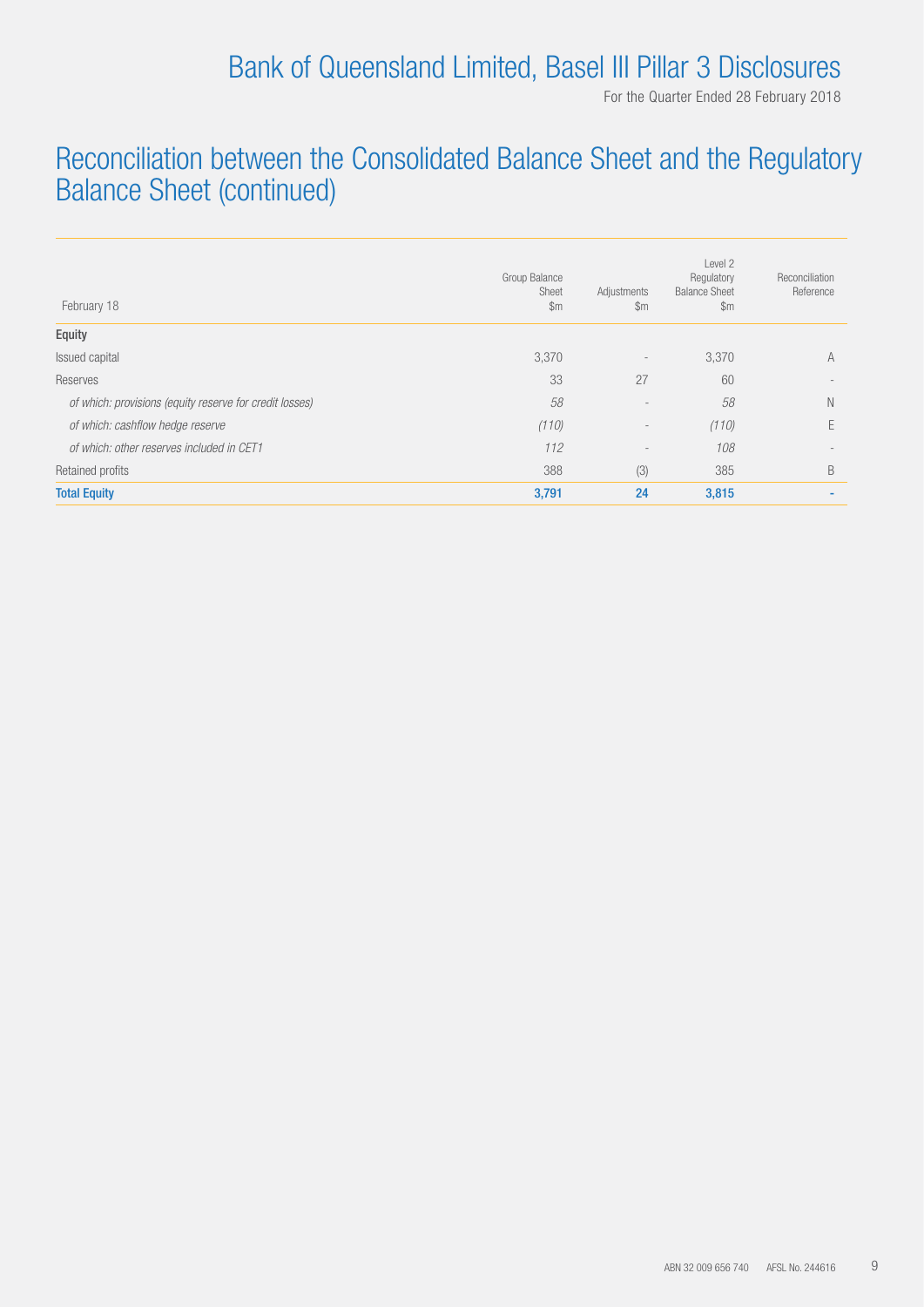For the Quarter Ended 28 February 2018

#### Reconciliation between the Consolidated Balance Sheet and the Regulatory Balance Sheet (continued)

| February 18                                             | Group Balance<br>Sheet<br>$\mathsf{Sm}$ | Adjustments<br>$\mathsf{Sm}$ | Level 2<br>Regulatory<br><b>Balance Sheet</b><br>$\mathsf{Sm}$ | Reconciliation<br>Reference |
|---------------------------------------------------------|-----------------------------------------|------------------------------|----------------------------------------------------------------|-----------------------------|
| Equity                                                  |                                         |                              |                                                                |                             |
| Issued capital                                          | 3,370                                   | $\overline{\phantom{a}}$     | 3,370                                                          | A                           |
| Reserves                                                | 33                                      | 27                           | 60                                                             |                             |
| of which: provisions (equity reserve for credit losses) | 58                                      | $\overline{\phantom{a}}$     | 58                                                             | Ν                           |
| of which: cashflow hedge reserve                        | (110)                                   | $\overline{\phantom{a}}$     | (110)                                                          | E                           |
| of which: other reserves included in CET1               | 112                                     | $\overline{\phantom{a}}$     | 108                                                            |                             |
| Retained profits                                        | 388                                     | (3)                          | 385                                                            | B                           |
| <b>Total Equity</b>                                     | 3,791                                   | 24                           | 3,815                                                          | -                           |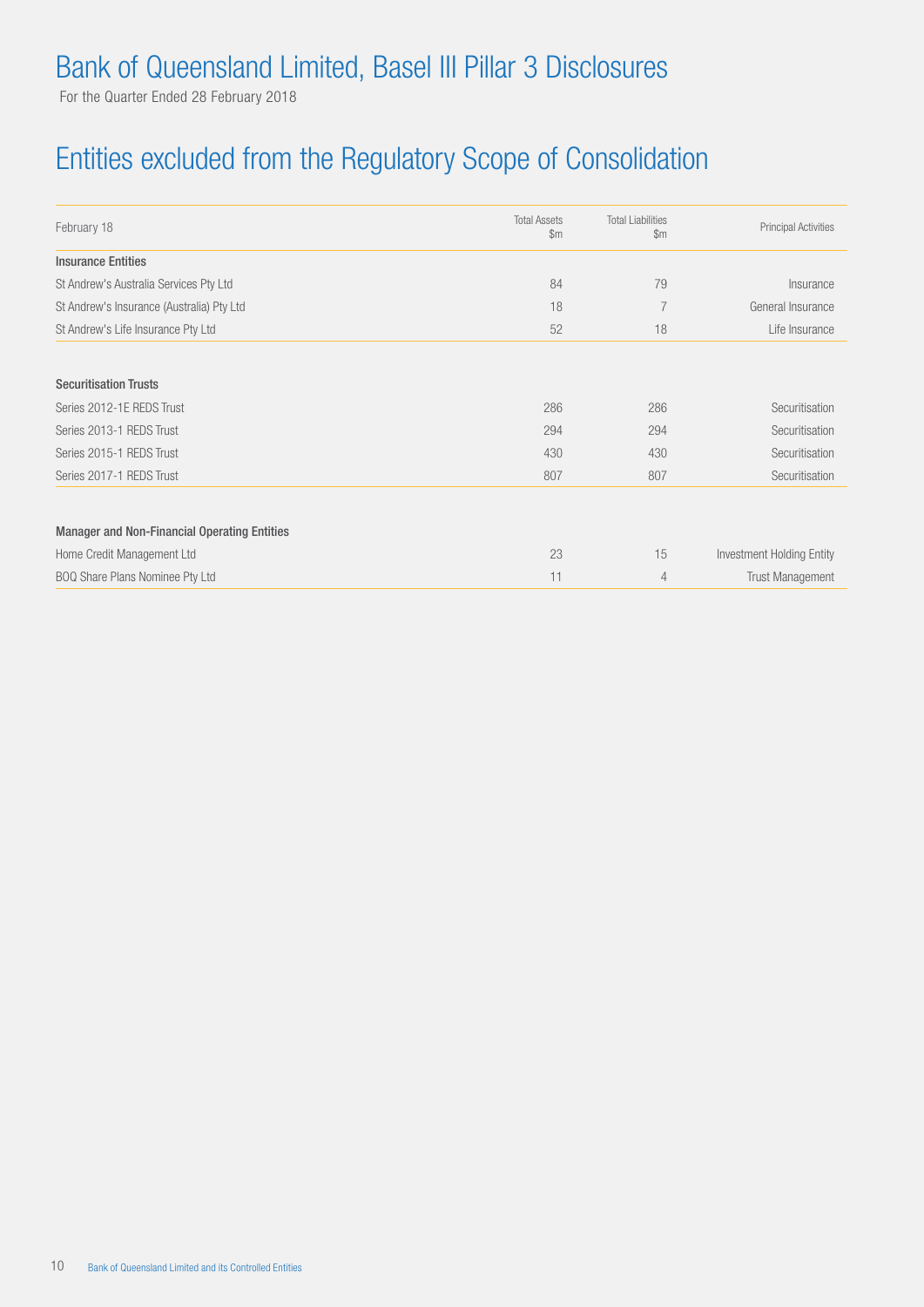For the Quarter Ended 28 February 2018

### Entities excluded from the Regulatory Scope of Consolidation

| February 18                                         | <b>Total Assets</b><br>$\mathfrak{m}$ | <b>Total Liabilities</b><br>$\mathfrak{m}$ | <b>Principal Activities</b> |
|-----------------------------------------------------|---------------------------------------|--------------------------------------------|-----------------------------|
| <b>Insurance Entities</b>                           |                                       |                                            |                             |
| St Andrew's Australia Services Pty Ltd              | 84                                    | 79                                         | Insurance                   |
| St Andrew's Insurance (Australia) Pty Ltd           | 18                                    |                                            | General Insurance           |
| St Andrew's Life Insurance Pty Ltd                  | 52                                    | 18                                         | Life Insurance              |
|                                                     |                                       |                                            |                             |
| <b>Securitisation Trusts</b>                        |                                       |                                            |                             |
| Series 2012-1E REDS Trust                           | 286                                   | 286                                        | Securitisation              |
| Series 2013-1 REDS Trust                            | 294                                   | 294                                        | Securitisation              |
| Series 2015-1 REDS Trust                            | 430                                   | 430                                        | Securitisation              |
| Series 2017-1 REDS Trust                            | 807                                   | 807                                        | Securitisation              |
| <b>Manager and Non-Financial Operating Entities</b> |                                       |                                            |                             |
| Home Credit Management Ltd                          | 23                                    | 15                                         | Investment Holding Entity   |
| BOQ Share Plans Nominee Pty Ltd                     | 11                                    | 4                                          | <b>Trust Management</b>     |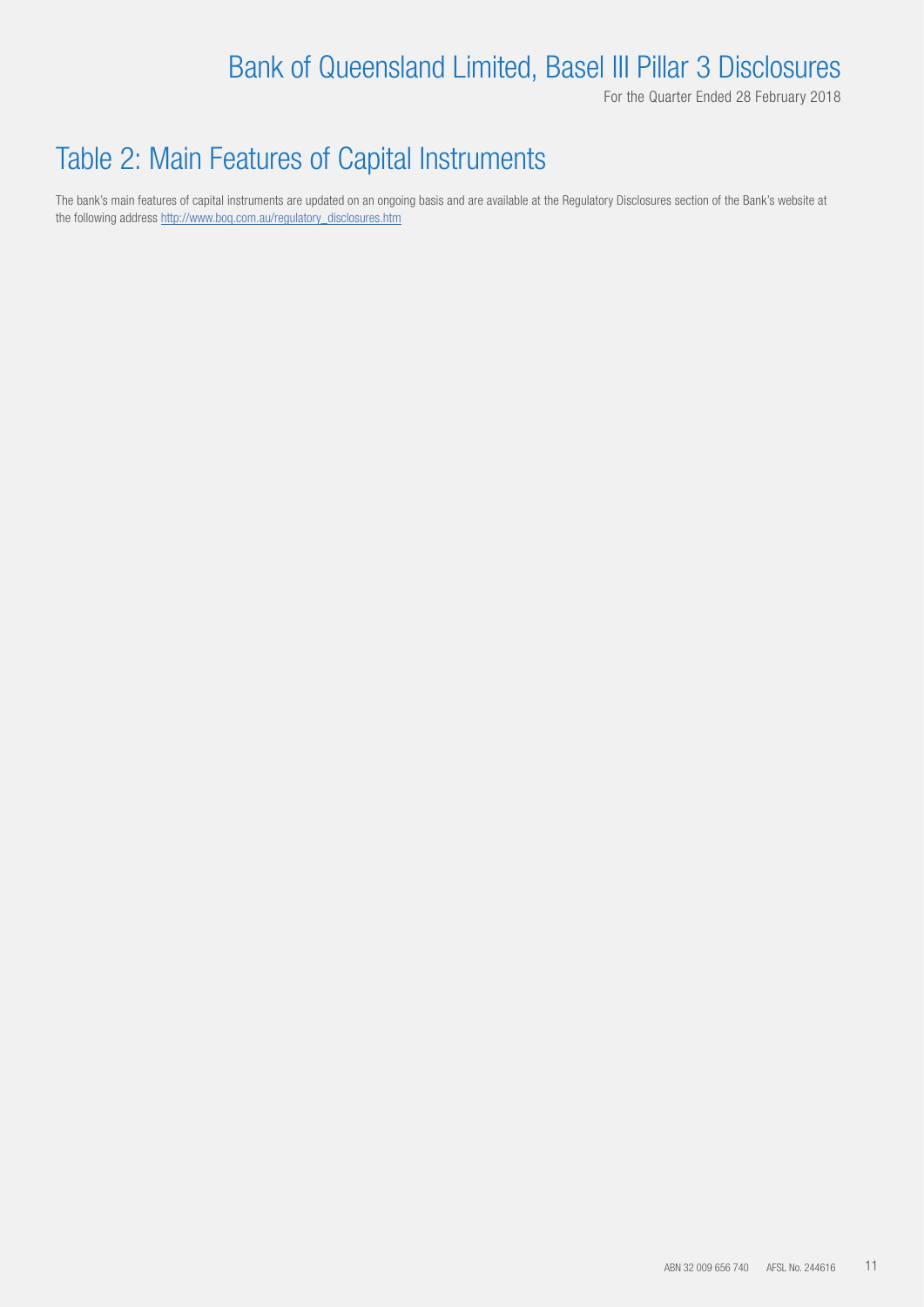For the Quarter Ended 28 February 2018

#### Table 2: Main Features of Capital Instruments

The bank's main features of capital instruments are updated on an ongoing basis and are available at the Regulatory Disclosures section of the Bank's website at the following address http://www.boq.com.au/regulatory\_disclosures.htm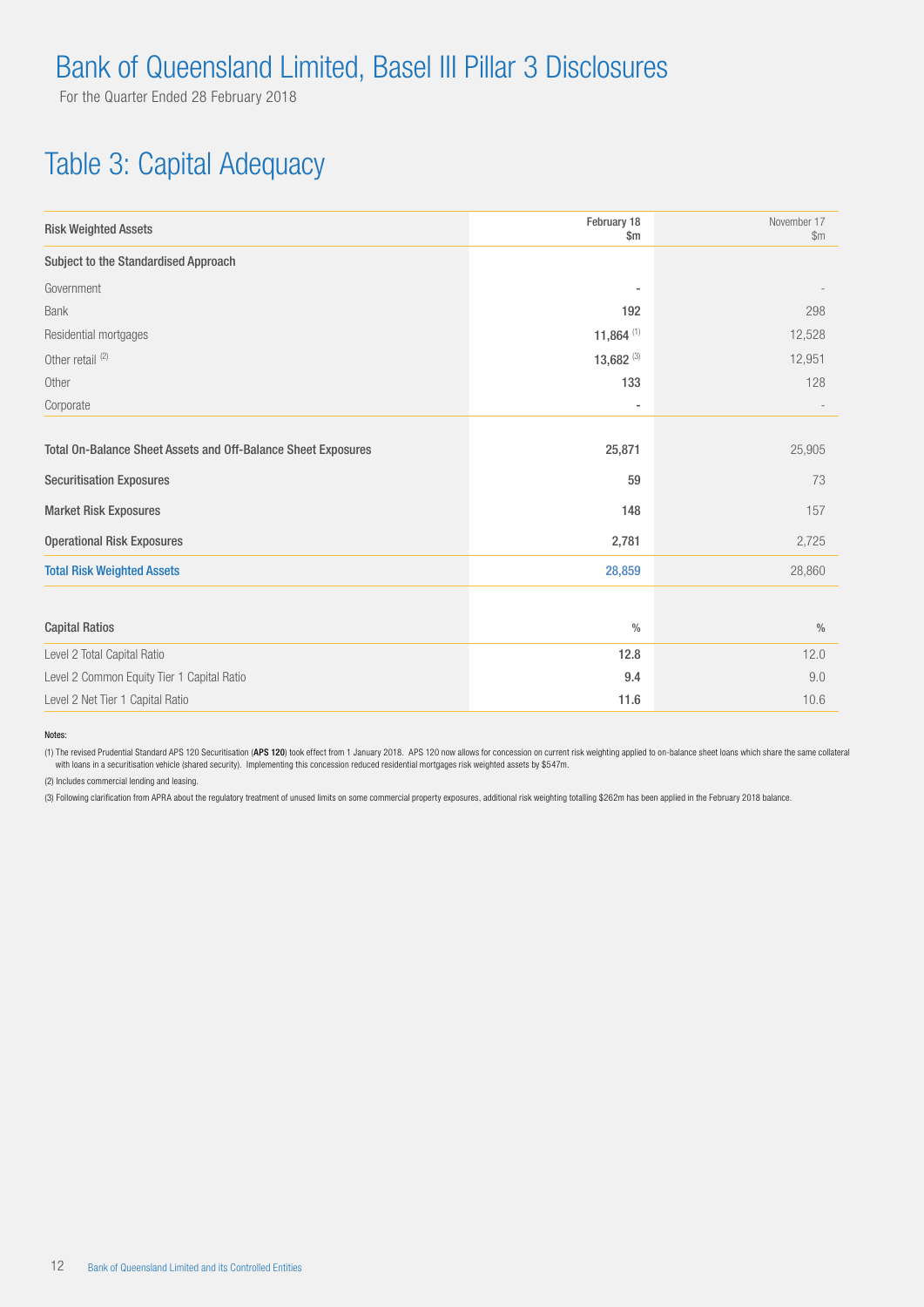For the Quarter Ended 28 February 2018

#### Table 3: Capital Adequacy

| <b>Risk Weighted Assets</b>                                   | February 18<br>$\mathsf{Sm}$ | November 17<br>\$m\$ |
|---------------------------------------------------------------|------------------------------|----------------------|
| Subject to the Standardised Approach                          |                              |                      |
| Government                                                    | ٠                            |                      |
| <b>Bank</b>                                                   | 192                          | 298                  |
| Residential mortgages                                         | 11,864 $(1)$                 | 12,528               |
| Other retail <sup>(2)</sup>                                   | 13,682 $(3)$                 | 12,951               |
| Other                                                         | 133                          | 128                  |
| Corporate                                                     | ٠                            |                      |
|                                                               |                              |                      |
| Total On-Balance Sheet Assets and Off-Balance Sheet Exposures | 25,871                       | 25,905               |
| <b>Securitisation Exposures</b>                               | 59                           | 73                   |
| <b>Market Risk Exposures</b>                                  | 148                          | 157                  |
| <b>Operational Risk Exposures</b>                             | 2,781                        | 2,725                |
| <b>Total Risk Weighted Assets</b>                             | 28,859                       | 28,860               |
|                                                               |                              |                      |
| <b>Capital Ratios</b>                                         | $\frac{0}{0}$                | $\%$                 |
| Level 2 Total Capital Ratio                                   | 12.8                         | 12.0                 |
| Level 2 Common Equity Tier 1 Capital Ratio                    | 9.4                          | 9.0                  |
| Level 2 Net Tier 1 Capital Ratio                              | 11.6                         | 10.6                 |

Notes:

(1) The revised Prudential Standard APS 120 Securitisation (APS 120) took effect from 1 January 2018. APS 120 now allows for concession on current risk weighting applied to on-balance sheet loans which share the same colla with loans in a securitisation vehicle (shared security). Implementing this concession reduced residential mortgages risk weighted assets by \$547m.

(2) Includes commercial lending and leasing.

(3) Following clarification from APRA about the regulatory treatment of unused limits on some commercial property exposures, additional risk weighting totalling \$262m has been applied in the February 2018 balance.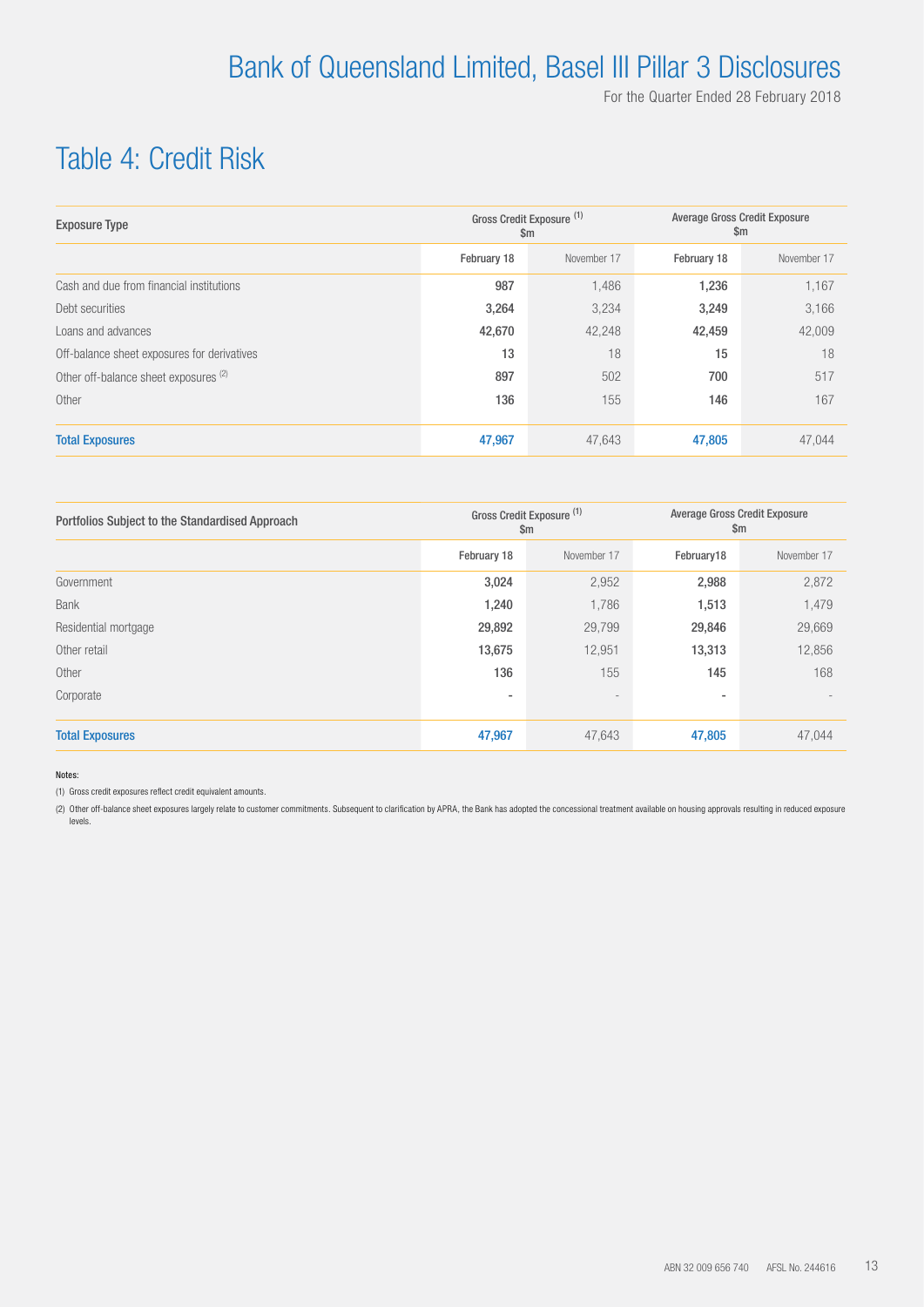## Table 4: Credit Risk

| <b>Exposure Type</b>                        |             | Gross Credit Exposure (1)<br>$\mathsf{Sm}$ | <b>Average Gross Credit Exposure</b><br>$\mathsf{Sm}$ |             |  |
|---------------------------------------------|-------------|--------------------------------------------|-------------------------------------------------------|-------------|--|
|                                             | February 18 | November 17                                | February 18                                           | November 17 |  |
| Cash and due from financial institutions    | 987         | 1,486                                      | 1,236                                                 | 1,167       |  |
| Debt securities                             | 3,264       | 3,234                                      | 3,249                                                 | 3,166       |  |
| Loans and advances                          | 42,670      | 42,248                                     | 42,459                                                | 42,009      |  |
| Off-balance sheet exposures for derivatives | 13          | 18                                         | 15                                                    | 18          |  |
| Other off-balance sheet exposures (2)       | 897         | 502                                        | 700                                                   | 517         |  |
| Other                                       | 136         | 155                                        | 146                                                   | 167         |  |
| <b>Total Exposures</b>                      | 47,967      | 47,643                                     | 47,805                                                | 47.044      |  |

| Portfolios Subject to the Standardised Approach |             | Gross Credit Exposure (1)<br>$\mathsf{Sm}$ | <b>Average Gross Credit Exposure</b><br>$\mathsf{Sm}$ |             |  |
|-------------------------------------------------|-------------|--------------------------------------------|-------------------------------------------------------|-------------|--|
|                                                 | February 18 | November 17                                | February18                                            | November 17 |  |
| Government                                      | 3,024       | 2,952                                      | 2,988                                                 | 2,872       |  |
| <b>Bank</b>                                     | 1,240       | 1,786                                      | 1,513                                                 | 1,479       |  |
| Residential mortgage                            | 29,892      | 29,799                                     | 29,846                                                | 29,669      |  |
| Other retail                                    | 13,675      | 12,951                                     | 13,313                                                | 12,856      |  |
| Other                                           | 136         | 155                                        | 145                                                   | 168         |  |
| Corporate                                       | ٠           | $\overline{\phantom{a}}$                   | ۰                                                     |             |  |
| <b>Total Exposures</b>                          | 47,967      | 47,643                                     | 47,805                                                | 47,044      |  |

Notes:

(1) Gross credit exposures reflect credit equivalent amounts.

(2) Other off-balance sheet exposures largely relate to customer commitments. Subsequent to clarification by APRA, the Bank has adopted the concessional treatment available on housing approvals resulting in reduced exposure levels.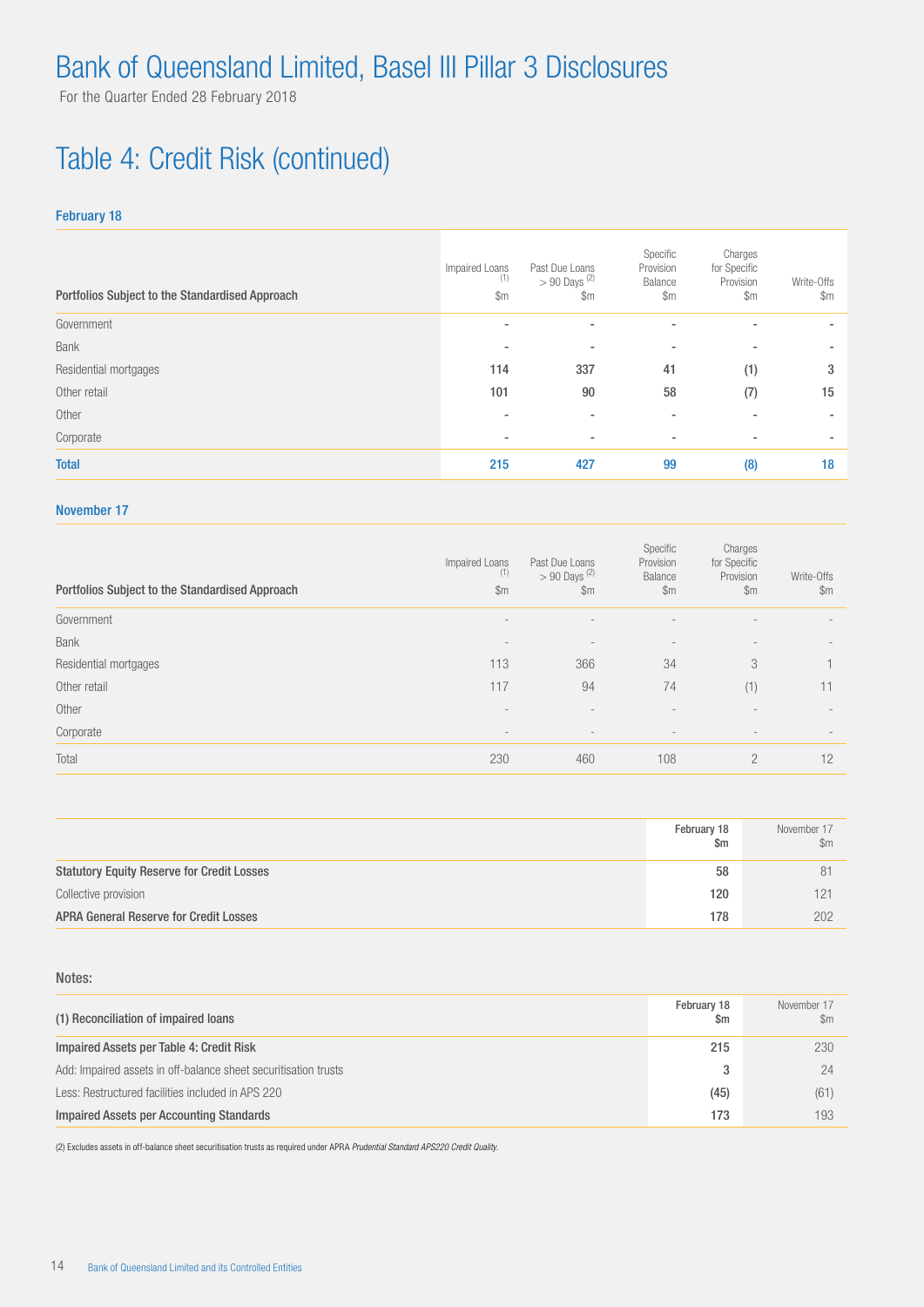# Table 4: Credit Risk (continued)

#### February 18

| Portfolios Subject to the Standardised Approach | Impaired Loans<br>(1)<br>$\mathsf{Sm}$ | Past Due Loans<br>$> 90$ Days <sup>(2)</sup><br>$\mathsf{Sm}$ | Specific<br>Provision<br>Balance<br>$\mathsf{Sm}$ | Charges<br>for Specific<br>Provision<br>$\mathbb{S}$ m | Write-Offs<br>$\mathsf{Sm}$ |
|-------------------------------------------------|----------------------------------------|---------------------------------------------------------------|---------------------------------------------------|--------------------------------------------------------|-----------------------------|
| Government                                      | $\overline{\phantom{a}}$               | ۰                                                             | ٠                                                 |                                                        |                             |
| Bank                                            |                                        | ۰                                                             | ۰                                                 |                                                        |                             |
| Residential mortgages                           | 114                                    | 337                                                           | 41                                                | (1)                                                    | 3                           |
| Other retail                                    | 101                                    | 90                                                            | 58                                                | (7)                                                    | 15                          |
| Other                                           |                                        | ۰                                                             | $\overline{\phantom{a}}$                          | $\overline{\phantom{a}}$                               |                             |
| Corporate                                       | $\overline{\phantom{a}}$               | ۰                                                             | ٠                                                 | $\overline{\phantom{a}}$                               |                             |
| <b>Total</b>                                    | 215                                    | 427                                                           | 99                                                | (8)                                                    | 18                          |

#### November 17

| Portfolios Subject to the Standardised Approach | Impaired Loans<br>(1)<br>\$m | Past Due Loans<br>$> 90$ Days <sup>(2)</sup><br>\$m | Specific<br>Provision<br>Balance<br>$\mathsf{Sm}$ | Charges<br>for Specific<br>Provision<br>$\mathsf{Sm}$ | Write-Offs<br>$\mathfrak{m}$ |
|-------------------------------------------------|------------------------------|-----------------------------------------------------|---------------------------------------------------|-------------------------------------------------------|------------------------------|
| Government                                      |                              |                                                     |                                                   |                                                       |                              |
| <b>Bank</b>                                     | $\overline{\phantom{a}}$     | $\qquad \qquad =$                                   | $\qquad \qquad -$                                 | $\qquad \qquad -$                                     | $\overline{\phantom{a}}$     |
| Residential mortgages                           | 113                          | 366                                                 | 34                                                | 3                                                     |                              |
| Other retail                                    | 117                          | 94                                                  | 74                                                | (1)                                                   | 11                           |
| Other                                           |                              | -                                                   |                                                   |                                                       |                              |
| Corporate                                       | $\overline{\phantom{a}}$     | $\overline{\phantom{0}}$                            | $\overline{\phantom{a}}$                          |                                                       |                              |
| Total                                           | 230                          | 460                                                 | 108                                               | $\overline{2}$                                        | 12                           |

|                                                   | February 18<br>$\mathsf{Sm}$ | November 17<br>$\mathbb{S}$ m |
|---------------------------------------------------|------------------------------|-------------------------------|
| <b>Statutory Equity Reserve for Credit Losses</b> | 58                           | 81                            |
| Collective provision                              | 120                          | 121                           |
| <b>APRA General Reserve for Credit Losses</b>     | 178                          | 202                           |

#### Notes:

| (1) Reconciliation of impaired loans                            | February 18<br>Sm | November 17<br>\$m |
|-----------------------------------------------------------------|-------------------|--------------------|
| Impaired Assets per Table 4: Credit Risk                        | 215               | 230                |
| Add: Impaired assets in off-balance sheet securitisation trusts |                   | 24                 |
| Less: Restructured facilities included in APS 220               | (45)              | (61)               |
| Impaired Assets per Accounting Standards                        | 173               | 193                |

(2) Excludes assets in off-balance sheet securitisation trusts as required under APRA *Prudential Standard APS220 Credit Quality*.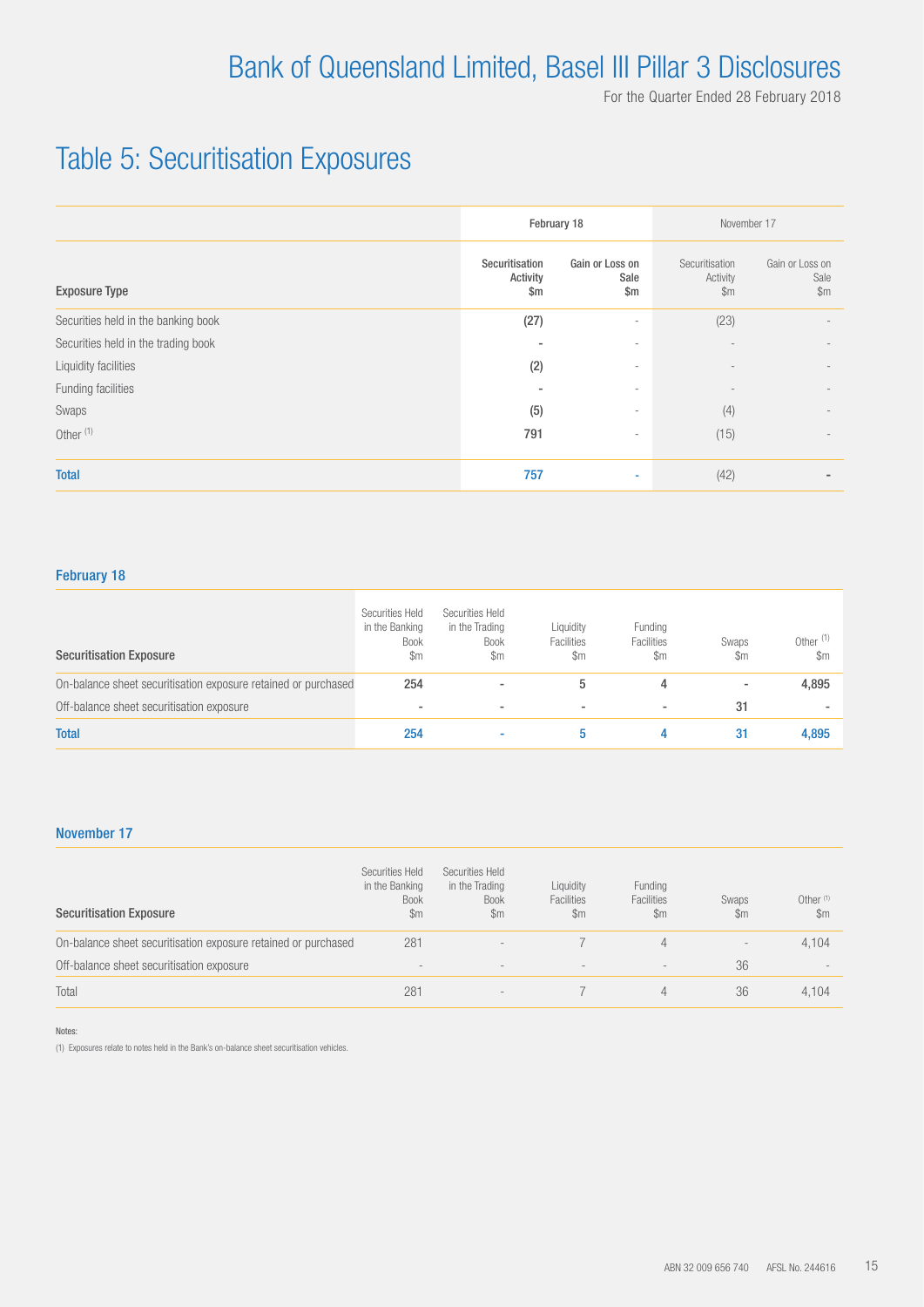## Table 5: Securitisation Exposures

|                                     |                                             | February 18                              | November 17                                 |                                          |  |
|-------------------------------------|---------------------------------------------|------------------------------------------|---------------------------------------------|------------------------------------------|--|
| <b>Exposure Type</b>                | Securitisation<br>Activity<br>$\mathsf{Sm}$ | Gain or Loss on<br>Sale<br>$\mathsf{Sm}$ | Securitisation<br>Activity<br>$\mathsf{Sm}$ | Gain or Loss on<br>Sale<br>$\mathsf{Sm}$ |  |
| Securities held in the banking book | (27)                                        | $\overline{\phantom{a}}$                 | (23)                                        |                                          |  |
| Securities held in the trading book |                                             | $\overline{\phantom{a}}$                 |                                             |                                          |  |
| Liquidity facilities                | (2)                                         | $\overline{\phantom{a}}$                 |                                             |                                          |  |
| Funding facilities                  | $\overline{\phantom{a}}$                    | $\overline{\phantom{a}}$                 |                                             |                                          |  |
| Swaps                               | (5)                                         | $\overline{\phantom{a}}$                 | (4)                                         | $\overline{\phantom{0}}$                 |  |
| Other <sup>(1)</sup>                | 791                                         | $\overline{\phantom{a}}$                 | (15)                                        | $\overline{\phantom{0}}$                 |  |
| <b>Total</b>                        | 757                                         | $\sim$                                   | (42)                                        | ٠                                        |  |

#### February 18

| <b>Securitisation Exposure</b>                                 | Securities Held<br>in the Banking<br><b>Book</b><br>\$m | Securities Held<br>in the Trading<br><b>Book</b><br>\$m | Liquidity<br>Facilities<br>\$m | Funding<br>Facilities<br>$\mathbb{S}$ m | Swaps<br>\$m             | Other $(1)$<br>$\mathbb{S}$ m |
|----------------------------------------------------------------|---------------------------------------------------------|---------------------------------------------------------|--------------------------------|-----------------------------------------|--------------------------|-------------------------------|
| On-balance sheet securitisation exposure retained or purchased | 254                                                     | -                                                       |                                |                                         | $\overline{\phantom{a}}$ | 4,895                         |
| Off-balance sheet securitisation exposure                      | ۰                                                       | ٠                                                       |                                |                                         | 31                       |                               |
| <b>Total</b>                                                   | 254                                                     |                                                         |                                | 4                                       | 31                       | 4,895                         |

#### November 17

| <b>Securitisation Exposure</b>                                 | Securities Held<br>in the Banking<br><b>Book</b><br>$\mathbb{S}$ m | Securities Held<br>in the Trading<br><b>Book</b><br>$\mathbb{S}$ m | Liquidity<br>Facilities<br>$\mathsf{Sm}$ | Funding<br>Facilities<br>$\mathsf{Sm}$ | Swaps<br>\$m             | Other $(1)$<br>$\mathbb{S}$ m |
|----------------------------------------------------------------|--------------------------------------------------------------------|--------------------------------------------------------------------|------------------------------------------|----------------------------------------|--------------------------|-------------------------------|
| On-balance sheet securitisation exposure retained or purchased | 281                                                                | $\overline{\phantom{a}}$                                           |                                          | 4                                      | $\overline{\phantom{a}}$ | 4,104                         |
| Off-balance sheet securitisation exposure                      | $\qquad \qquad -$                                                  | $\overline{\phantom{m}}$                                           | $\overline{\phantom{a}}$                 | $\qquad \qquad -$                      | 36                       | $\qquad \qquad -$             |
| Total                                                          | 281                                                                | $\overline{\phantom{a}}$                                           |                                          | 4                                      | 36                       | 4.104                         |

Notes:

(1) Exposures relate to notes held in the Bank's on-balance sheet securitisation vehicles.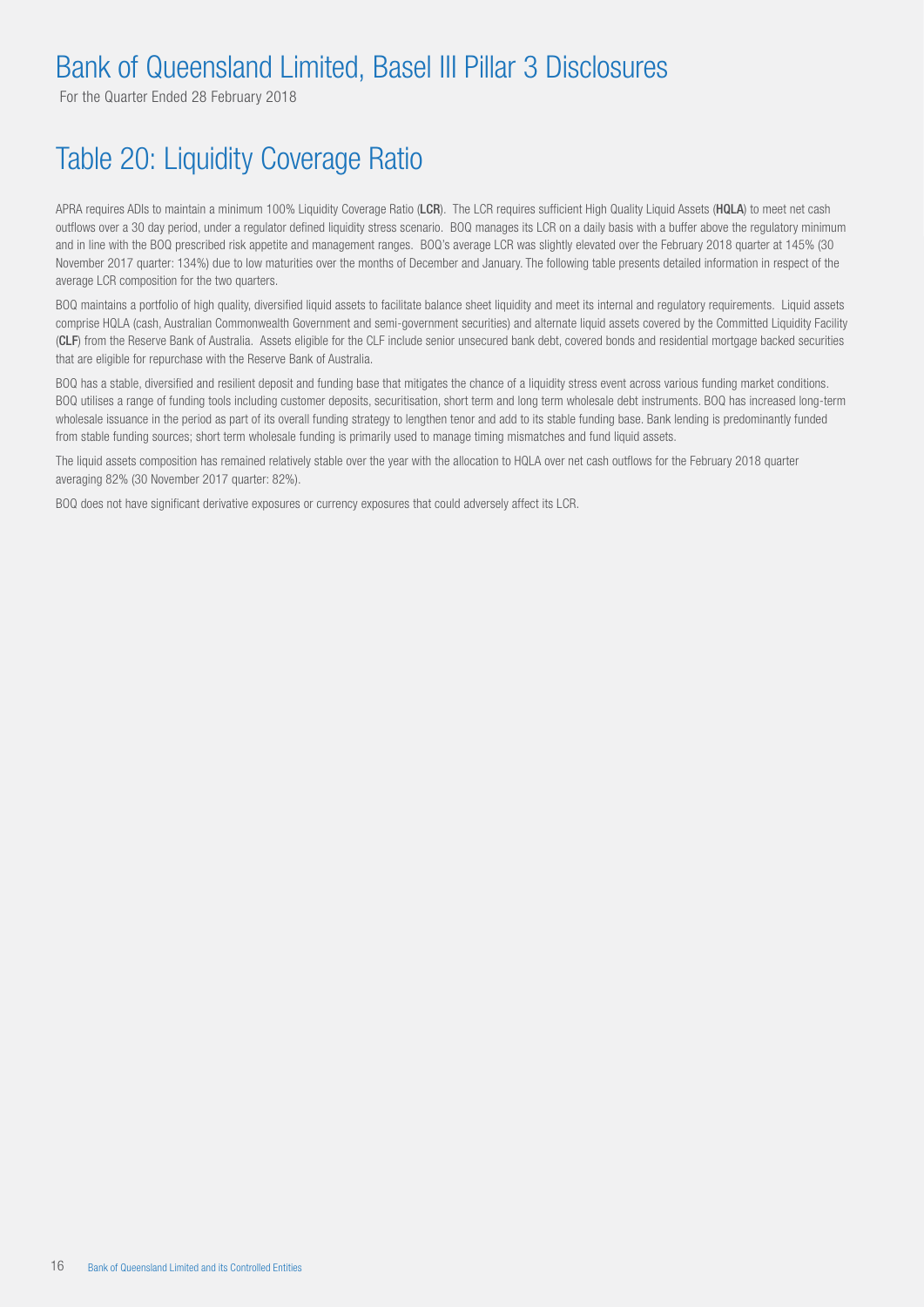For the Quarter Ended 28 February 2018

## Table 20: Liquidity Coverage Ratio

APRA requires ADIs to maintain a minimum 100% Liquidity Coverage Ratio (LCR). The LCR requires sufficient High Quality Liquid Assets (HQLA) to meet net cash outflows over a 30 day period, under a regulator defined liquidity stress scenario. BOQ manages its LCR on a daily basis with a buffer above the regulatory minimum and in line with the BOQ prescribed risk appetite and management ranges. BOQ's average LCR was slightly elevated over the February 2018 quarter at 145% (30 November 2017 quarter: 134%) due to low maturities over the months of December and January. The following table presents detailed information in respect of the average LCR composition for the two quarters.

BOQ maintains a portfolio of high quality, diversified liquid assets to facilitate balance sheet liquidity and meet its internal and regulatory requirements. Liquid assets comprise HQLA (cash, Australian Commonwealth Government and semi-government securities) and alternate liquid assets covered by the Committed Liquidity Facility (CLF) from the Reserve Bank of Australia. Assets eligible for the CLF include senior unsecured bank debt, covered bonds and residential mortgage backed securities that are eligible for repurchase with the Reserve Bank of Australia.

BOQ has a stable, diversified and resilient deposit and funding base that mitigates the chance of a liquidity stress event across various funding market conditions. BOQ utilises a range of funding tools including customer deposits, securitisation, short term and long term wholesale debt instruments. BOQ has increased long-term wholesale issuance in the period as part of its overall funding strategy to lengthen tenor and add to its stable funding base. Bank lending is predominantly funded from stable funding sources; short term wholesale funding is primarily used to manage timing mismatches and fund liquid assets.

The liquid assets composition has remained relatively stable over the year with the allocation to HQLA over net cash outflows for the February 2018 quarter averaging 82% (30 November 2017 quarter: 82%).

BOQ does not have significant derivative exposures or currency exposures that could adversely affect its LCR.